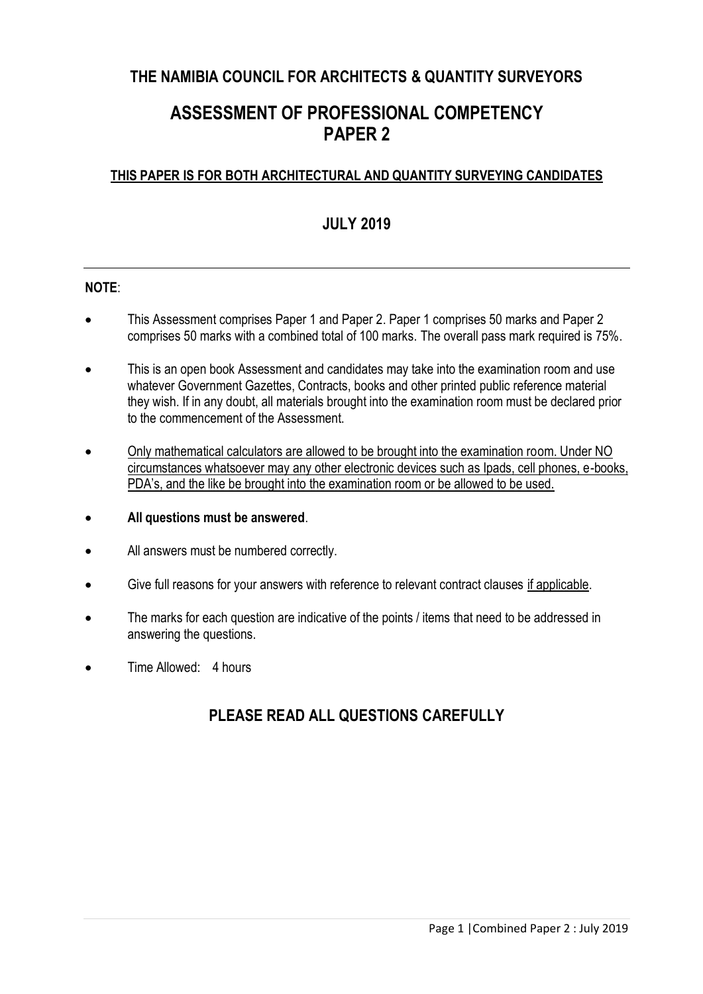# **THE NAMIBIA COUNCIL FOR ARCHITECTS & QUANTITY SURVEYORS**

# **ASSESSMENT OF PROFESSIONAL COMPETENCY PAPER 2**

### **THIS PAPER IS FOR BOTH ARCHITECTURAL AND QUANTITY SURVEYING CANDIDATES**

# **JULY 2019**

#### **NOTE**:

- This Assessment comprises Paper 1 and Paper 2. Paper 1 comprises 50 marks and Paper 2 comprises 50 marks with a combined total of 100 marks. The overall pass mark required is 75%.
- This is an open book Assessment and candidates may take into the examination room and use whatever Government Gazettes, Contracts, books and other printed public reference material they wish. If in any doubt, all materials brought into the examination room must be declared prior to the commencement of the Assessment.
- Only mathematical calculators are allowed to be brought into the examination room. Under NO circumstances whatsoever may any other electronic devices such as Ipads, cell phones, e-books, PDA's, and the like be brought into the examination room or be allowed to be used.
- **All questions must be answered**.
- All answers must be numbered correctly.
- Give full reasons for your answers with reference to relevant contract clauses if applicable.
- The marks for each question are indicative of the points / items that need to be addressed in answering the questions.
- Time Allowed: 4 hours

## **PLEASE READ ALL QUESTIONS CAREFULLY**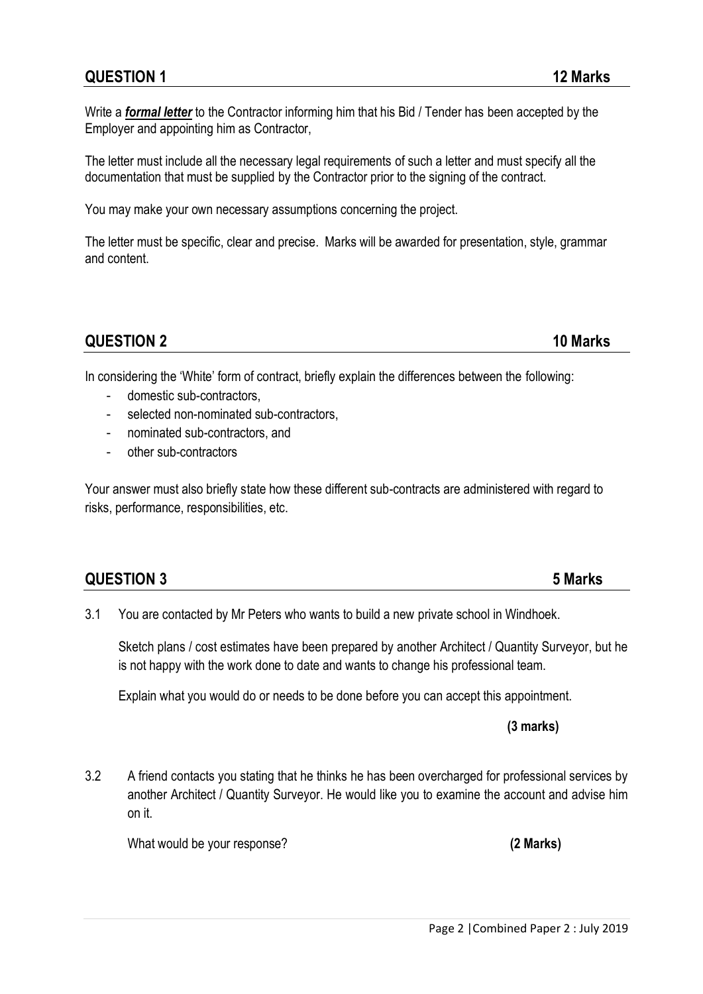Page 2 |Combined Paper 2 : July 2019

Write a *formal letter* to the Contractor informing him that his Bid / Tender has been accepted by the Employer and appointing him as Contractor,

The letter must include all the necessary legal requirements of such a letter and must specify all the documentation that must be supplied by the Contractor prior to the signing of the contract.

You may make your own necessary assumptions concerning the project.

The letter must be specific, clear and precise. Marks will be awarded for presentation, style, grammar and content.

### **QUESTION 2 10 Marks**

In considering the 'White' form of contract, briefly explain the differences between the following:

- domestic sub-contractors.
- selected non-nominated sub-contractors,
- nominated sub-contractors, and
- other sub-contractors

Your answer must also briefly state how these different sub-contracts are administered with regard to risks, performance, responsibilities, etc.

| <b>QUESTION 3</b> | 5 Marks |
|-------------------|---------|
|-------------------|---------|

3.1 You are contacted by Mr Peters who wants to build a new private school in Windhoek.

Sketch plans / cost estimates have been prepared by another Architect / Quantity Surveyor, but he is not happy with the work done to date and wants to change his professional team.

Explain what you would do or needs to be done before you can accept this appointment.

**(3 marks)**

3.2 A friend contacts you stating that he thinks he has been overcharged for professional services by another Architect / Quantity Surveyor. He would like you to examine the account and advise him on it.

What would be your response? **(2 Marks)**